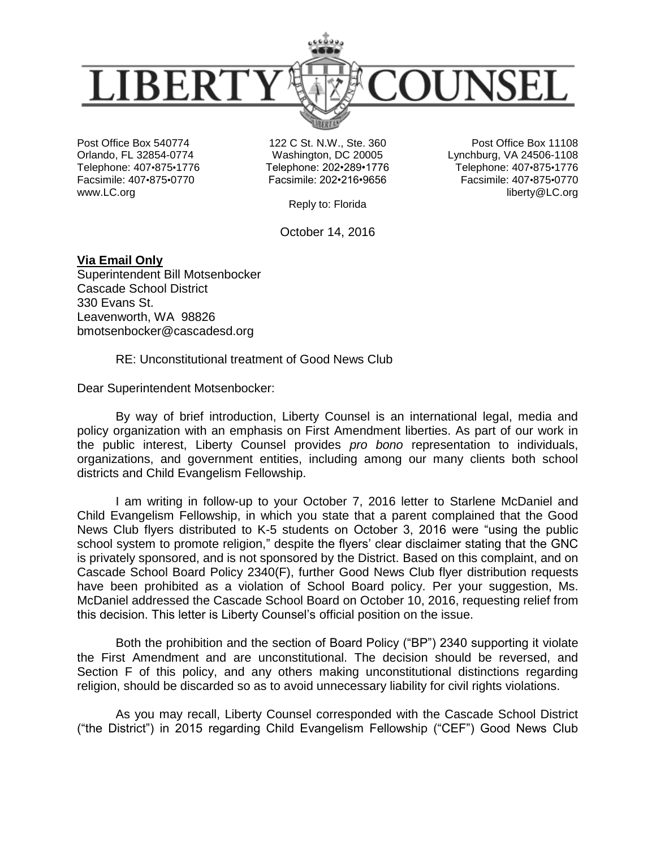

Post Office Box 540774 Orlando, FL 32854-0774 Telephone: 407•875•1776 Facsimile: 407•875•0770 www.LC.org

122 C St. N.W., Ste. 360 Washington, DC 20005 Telephone: 202•289•1776 Facsimile: 202•216•9656

Post Office Box 11108 Lynchburg, VA 24506-1108 Telephone: 407•875•1776 Facsimile: 407•875•0770 liberty@LC.org

Reply to: Florida

October 14, 2016

**Via Email Only** Superintendent Bill Motsenbocker Cascade School District 330 Evans St. Leavenworth, WA 98826 bmotsenbocker@cascadesd.org

RE: Unconstitutional treatment of Good News Club

Dear Superintendent Motsenbocker:

By way of brief introduction, Liberty Counsel is an international legal, media and policy organization with an emphasis on First Amendment liberties. As part of our work in the public interest, Liberty Counsel provides *pro bono* representation to individuals, organizations, and government entities, including among our many clients both school districts and Child Evangelism Fellowship.

I am writing in follow-up to your October 7, 2016 letter to Starlene McDaniel and Child Evangelism Fellowship, in which you state that a parent complained that the Good News Club flyers distributed to K-5 students on October 3, 2016 were "using the public school system to promote religion," despite the flyers' clear disclaimer stating that the GNC is privately sponsored, and is not sponsored by the District. Based on this complaint, and on Cascade School Board Policy 2340(F), further Good News Club flyer distribution requests have been prohibited as a violation of School Board policy. Per your suggestion, Ms. McDaniel addressed the Cascade School Board on October 10, 2016, requesting relief from this decision. This letter is Liberty Counsel's official position on the issue.

Both the prohibition and the section of Board Policy ("BP") 2340 supporting it violate the First Amendment and are unconstitutional. The decision should be reversed, and Section F of this policy, and any others making unconstitutional distinctions regarding religion, should be discarded so as to avoid unnecessary liability for civil rights violations.

As you may recall, Liberty Counsel corresponded with the Cascade School District ("the District") in 2015 regarding Child Evangelism Fellowship ("CEF") Good News Club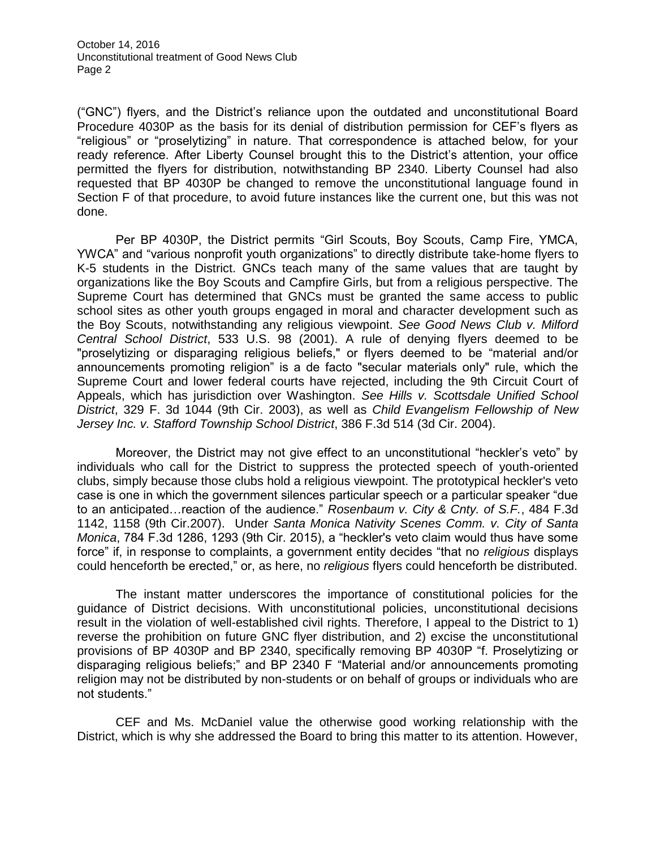("GNC") flyers, and the District's reliance upon the outdated and unconstitutional Board Procedure 4030P as the basis for its denial of distribution permission for CEF's flyers as "religious" or "proselytizing" in nature. That correspondence is attached below, for your ready reference. After Liberty Counsel brought this to the District's attention, your office permitted the flyers for distribution, notwithstanding BP 2340. Liberty Counsel had also requested that BP 4030P be changed to remove the unconstitutional language found in Section F of that procedure, to avoid future instances like the current one, but this was not done.

Per BP 4030P, the District permits "Girl Scouts, Boy Scouts, Camp Fire, YMCA, YWCA" and "various nonprofit youth organizations" to directly distribute take-home flyers to K-5 students in the District. GNCs teach many of the same values that are taught by organizations like the Boy Scouts and Campfire Girls, but from a religious perspective. The Supreme Court has determined that GNCs must be granted the same access to public school sites as other youth groups engaged in moral and character development such as the Boy Scouts, notwithstanding any religious viewpoint. *See Good News Club v. Milford Central School District*, 533 U.S. 98 (2001). A rule of denying flyers deemed to be "proselytizing or disparaging religious beliefs," or flyers deemed to be "material and/or announcements promoting religion" is a de facto "secular materials only" rule, which the Supreme Court and lower federal courts have rejected, including the 9th Circuit Court of Appeals, which has jurisdiction over Washington. *See Hills v. Scottsdale Unified School District*, 329 F. 3d 1044 (9th Cir. 2003), as well as *Child Evangelism Fellowship of New Jersey Inc. v. Stafford Township School District*, 386 F.3d 514 (3d Cir. 2004).

Moreover, the District may not give effect to an unconstitutional "heckler's veto" by individuals who call for the District to suppress the protected speech of youth-oriented clubs, simply because those clubs hold a religious viewpoint. The prototypical heckler's veto case is one in which the government silences particular speech or a particular speaker "due to an anticipated…reaction of the audience." *Rosenbaum v. City & Cnty. of S.F.*, 484 F.3d 1142, 1158 (9th Cir.2007). Under *Santa Monica Nativity Scenes Comm. v. City of Santa Monica*, 784 F.3d 1286, 1293 (9th Cir. 2015), a "heckler's veto claim would thus have some force" if, in response to complaints, a government entity decides "that no *religious* displays could henceforth be erected," or, as here, no *religious* flyers could henceforth be distributed.

The instant matter underscores the importance of constitutional policies for the guidance of District decisions. With unconstitutional policies, unconstitutional decisions result in the violation of well-established civil rights. Therefore, I appeal to the District to 1) reverse the prohibition on future GNC flyer distribution, and 2) excise the unconstitutional provisions of BP 4030P and BP 2340, specifically removing BP 4030P "f. Proselytizing or disparaging religious beliefs;" and BP 2340 F "Material and/or announcements promoting religion may not be distributed by non-students or on behalf of groups or individuals who are not students."

CEF and Ms. McDaniel value the otherwise good working relationship with the District, which is why she addressed the Board to bring this matter to its attention. However,